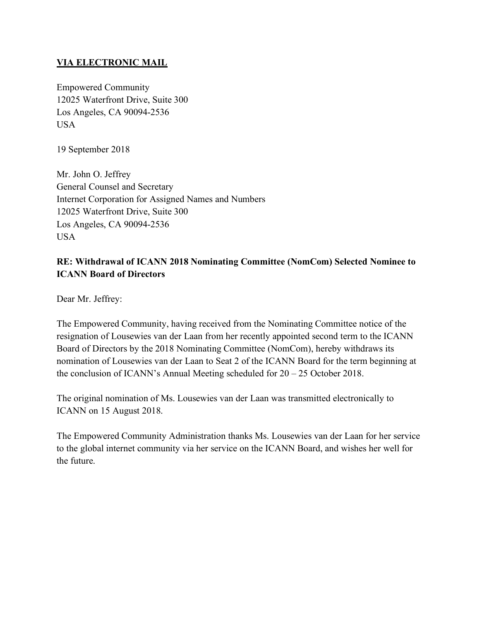### **VIA ELECTRONIC MAIL**

Empowered Community 12025 Waterfront Drive, Suite 300 Los Angeles, CA 90094-2536 **USA** 

19 September 2018

Mr. John O. Jeffrey General Counsel and Secretary Internet Corporation for Assigned Names and Numbers 12025 Waterfront Drive, Suite 300 Los Angeles, CA 90094-2536 USA

# **RE: Withdrawal of ICANN 2018 Nominating Committee (NomCom) Selected Nominee to ICANN Board of Directors**

Dear Mr. Jeffrey:

The Empowered Community, having received from the Nominating Committee notice of the resignation of Lousewies van der Laan from her recently appointed second term to the ICANN Board of Directors by the 2018 Nominating Committee (NomCom), hereby withdraws its nomination of Lousewies van der Laan to Seat 2 of the ICANN Board for the term beginning at the conclusion of ICANN's Annual Meeting scheduled for  $20 - 25$  October 2018.

The original nomination of Ms. Lousewies van der Laan was transmitted electronically to ICANN on 15 August 2018.

The Empowered Community Administration thanks Ms. Lousewies van der Laan for her service to the global internet community via her service on the ICANN Board, and wishes her well for the future.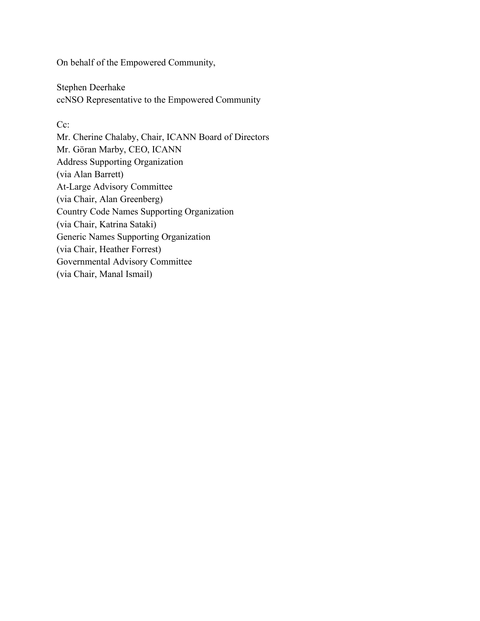On behalf of the Empowered Community,

Stephen Deerhake ccNSO Representative to the Empowered Community

#### C<sub>c</sub>:

Mr. Cherine Chalaby, Chair, ICANN Board of Directors Mr. Göran Marby, CEO, ICANN Address Supporting Organization (via Alan Barrett) At-Large Advisory Committee (via Chair, Alan Greenberg) Country Code Names Supporting Organization (via Chair, Katrina Sataki) Generic Names Supporting Organization (via Chair, Heather Forrest) Governmental Advisory Committee (via Chair, Manal Ismail)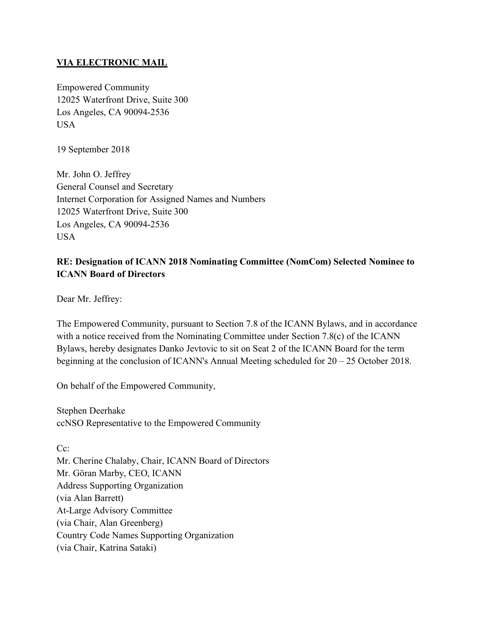### **VIA ELECTRONIC MAIL**

Empowered Community 12025 Waterfront Drive, Suite 300 Los Angeles, CA 90094-2536 **USA** 

19 September 2018

Mr. John O. Jeffrey General Counsel and Secretary Internet Corporation for Assigned Names and Numbers 12025 Waterfront Drive, Suite 300 Los Angeles, CA 90094-2536 USA

# **RE: Designation of ICANN 2018 Nominating Committee (NomCom) Selected Nominee to ICANN Board of Directors**

Dear Mr. Jeffrey:

The Empowered Community, pursuant to Section 7.8 of the ICANN Bylaws, and in accordance with a notice received from the Nominating Committee under Section 7.8(c) of the ICANN Bylaws, hereby designates Danko Jevtovic to sit on Seat 2 of the ICANN Board for the term beginning at the conclusion of ICANN's Annual Meeting scheduled for 20 – 25 October 2018.

On behalf of the Empowered Community,

Stephen Deerhake ccNSO Representative to the Empowered Community

C<sub>c</sub>: Mr. Cherine Chalaby, Chair, ICANN Board of Directors Mr. Göran Marby, CEO, ICANN Address Supporting Organization (via Alan Barrett) At-Large Advisory Committee (via Chair, Alan Greenberg) Country Code Names Supporting Organization (via Chair, Katrina Sataki)